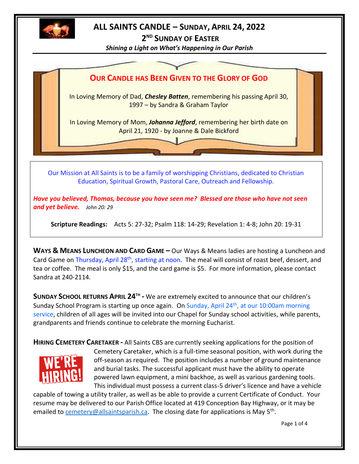

# **ALL SAINTS CANDLE – SUNDAY, APRIL 24, 2022**

**2 ND SUNDAY OF EASTER** *Shining a Light on What's Happening in Our Parish*



Our Mission at All Saints is to be a family of worshipping Christians, dedicated to Christian Education, Spiritual Growth, Pastoral Care, Outreach and Fellowship.

*Have you believed, Thomas, because you have seen me? Blessed are those who have not seen and yet believe. John 20: 29*

**Scripture Readings:** Acts 5: 27-32; Psalm 118: 14-29; Revelation 1: 4-8; John 20: 19-31

**WAYS & MEANS LUNCHEON AND CARD GAME –** Our Ways & Means ladies are hosting a Luncheon and Card Game on Thursday, April 28<sup>th</sup>, starting at noon. The meal will consist of roast beef, dessert, and tea or coffee. The meal is only \$15, and the card game is \$5. For more information, please contact Sandra at 240-2114.

**SUNDAY SCHOOL RETURNS APRIL 24TH -** We are extremely excited to announce that our children's Sunday School Program is starting up once again. On Sunday, April 24<sup>th</sup>, at our 10:00am morning service, children of all ages will be invited into our Chapel for Sunday school activities, while parents, grandparents and friends continue to celebrate the morning Eucharist.

**HIRING CEMETERY CARETAKER -** All Saints CBS are currently seeking applications for the position of Cemetery Caretaker, which is a full-time seasonal position, with work during the off-season as required. The position includes a number of ground maintenance and burial tasks. The successful applicant must have the ability to operate powered lawn equipment, a mini backhoe, as well as various gardening tools. This individual must possess a current class-5 driver's licence and have a vehicle

capable of towing a utility trailer, as well as be able to provide a current Certificate of Conduct. Your resume may be delivered to our Parish Office located at 419 Conception Bay Highway, or it may be emailed to **cemetery@allsaintsparish.ca.** The closing date for applications is May 5<sup>th</sup>.

Page 1 of 4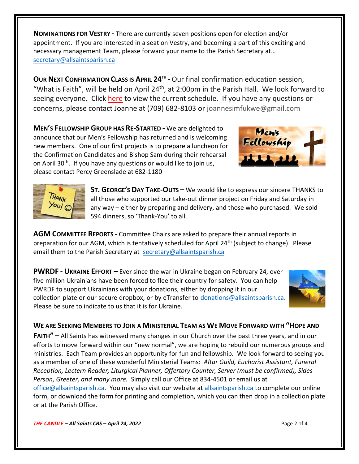**NOMINATIONS FOR VESTRY -** There are currently seven positions open for election and/or appointment. If you are interested in a seat on Vestry, and becoming a part of this exciting and necessary management Team, please forward your name to the Parish Secretary at… [secretary@allsaintsparish.ca](mailto:Nominations%20for%20Vestry%20%20There%20are%20currently%207%20positions%20open%20for%20election.%20%20If%20you%20are%20interested%20in%20a%20seat%20on%20Vestry,%20and%20being%20a%20part%20of%20this%20exciting%20management%20Team,%20please%20forward%20your%20name%20to%20the%20Parish%20Secretary%20at…%20secretary@allsaintsparish.ca%20%20?subject=Nominations%20for%20Vestry)

**OUR NEXT CONFIRMATION CLASS IS APRIL 24TH -** Our final confirmation education session, "What is Faith", will be held on April 24<sup>th</sup>, at 2:00pm in the Parish Hall. We look forward to seeing everyone. Click [here](http://allsaintsparish.ca/document_library/Confirmation%20Schedule%20220227.pdf) to view the current schedule. If you have any questions or concerns, please contact Joanne at (709) 682-8103 or [joannesimfukwe@gmail.com](mailto:joannesimfukwe@gmail.com)

**MEN'S FELLOWSHIP GROUP HAS RE-STARTED -** We are delighted to announce that our Men's Fellowship has returned and is welcoming new members. One of our first projects is to prepare a luncheon for the Confirmation Candidates and Bishop Sam during their rehearsal on April 30<sup>th</sup>. If you have any questions or would like to join us, please contact Percy Greenslade at 682-1180





**ST. GEORGE'S DAY TAKE-OUTS –** We would like to express our sincere THANKS to all those who supported our take-out dinner project on Friday and Saturday in any way – either by preparing and delivery, and those who purchased. We sold 594 dinners, so 'Thank-You' to all.

**AGM COMMITTEE REPORTS -** Committee Chairs are asked to prepare their annual reports in preparation for our AGM, which is tentatively scheduled for April 24<sup>th</sup> (subject to change). Please email them to the Parish Secretary at [secretary@allsaintsparish.ca](mailto:Committee%20Chairs%20are%20asked%20to%20prepare%20their%20annual%20reports%20in%20preparation%20for%20our%20AGM,%20which%20is%20tentatively%20scheduled%20for%20April%2024th%20(subject%20to%20change).%20%20Please%20email%20them%20to%20the%20Parish%20Secretary%20at%20secretary@allsaintsparish.ca%20%20?subject=AGM%20Committee%20Report)

**PWRDF - UKRAINE EFFORT –** Ever since the war in Ukraine began on February 24, over five million Ukrainians have been forced to flee their country for safety. You can help PWRDF to support Ukrainians with your donations, either by dropping it in our collection plate or our secure dropbox, or by eTransfer to [donations@allsaintsparish.ca.](mailto:donations@allsaintsparish.ca) Please be sure to indicate to us that it is for Ukraine.



**WE ARE SEEKING MEMBERS TO JOIN A MINISTERIAL TEAM AS WE MOVE FORWARD WITH "HOPE AND** 

**FAITH" –** All Saints has witnessed many changes in our Church over the past three years, and in our efforts to move forward within our "new normal", we are hoping to rebuild our numerous groups and ministries. Each Team provides an opportunity for fun and fellowship. We look forward to seeing you as a member of one of these wonderful Ministerial Teams: *Altar Guild, Eucharist Assistant, Funeral Reception, Lectern Reader, Liturgical Planner, Offertory Counter, Server (must be confirmed), Sides Person, Greeter, and many more.* Simply call our Office at 834-4501 or email us at [office@allsaintsparish.ca.](mailto:office@allsaintsparish.ca) You may also visit our website at [allsaintsparish.ca](/Users/ralphfagan/Documents/All%20Saints%20Parish/Candle/ASP%202022%20Candle/allsaintsparish.ca) to complete our online form, or download the form for printing and completion, which you can then drop in a collection plate or at the Parish Office.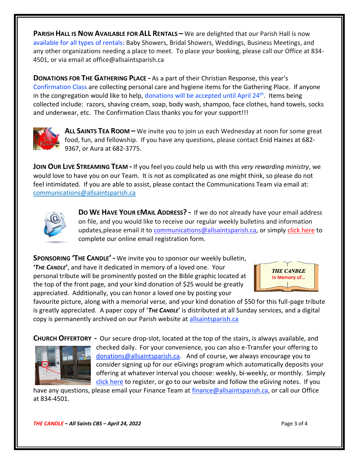**PARISH HALL IS NOW AVAILABLE FOR ALL RENTALS –** We are delighted that our Parish Hall is now available for all types of rentals: Baby Showers, Bridal Showers, Weddings, Business Meetings, and any other organizations needing a place to meet. To place your booking, please call our Office at 834- 4501, or via email at office@allsaintsparish.ca

**DONATIONS FOR THE GATHERING PLACE -** As a part of their Christian Response, this year's Confirmation Class are collecting personal care and hygiene items for the Gathering Place. If anyone in the congregation would like to help, donations will be accepted until April 24<sup>th</sup>. Items being collected include: razors, shaving cream, soap, body wash, shampoo, face clothes, hand towels, socks and underwear, etc. The Confirmation Class thanks you for your support!!!



**ALL SAINTS TEA ROOM –** We invite you to join us each Wednesday at noon for some great food, fun, and fellowship. If you have any questions, please contact Enid Haines at 682- 9367, or Aura at 682-3775.

**JOIN OUR LIVE STREAMING TEAM -** If you feel you could help us with this *very rewarding ministry*, we would love to have you on our Team. It is not as complicated as one might think, so please do not feel intimidated. If you are able to assist, please contact the Communications Team via email at: [communications@allsaintsparish.ca](mailto:communications@allsaintsparish.ca?subject=Live%20Streaming%20Team) 



**DO WE HAVE YOUR EMAIL ADDRESS? -** If we do not already have your email address on file, and you would like to receive our regular weekly bulletins and information updates, please email it to [communications@allsaintsparish.ca,](mailto:communications@allsaintsparish.ca?subject=eMail%20Address%20Update) or simply [click here](http://allsaintsparish.ca/email_updates) to complete our online email registration form.

**SPONSORING 'THE CANDLE' -** We invite you to sponsor our weekly bulletin,

**'***THE CANDLE***'**, and have it dedicated in memory of a loved one. Your personal tribute will be prominently posted on the Bible graphic located at the top of the front page, and your kind donation of \$25 would be greatly appreciated. Additionally, you can honor a loved one by posting your



favourite picture, along with a memorial verse, and your kind donation of \$50 for this full-page tribute is greatly appreciated. A paper copy of '*THE CANDLE*' is distributed at all Sunday services, and a digital copy is permanently archived on our Parish website at [allsaintsparish.ca](http://allsaintsparish.ca/thecandle.html)

**CHURCH OFFERTORY -** Our secure drop-slot, located at the top of the stairs, is always available, and



checked daily. For your convenience, you can also e-Transfer your offering to [donations@allsaintsparish.ca.](mailto:donations@allsaintsparish.ca) And of course, we always encourage you to consider signing up for our eGivings program which automatically deposits your offering at whatever interval you choose: weekly, bi-weekly, or monthly. Simply [click here](http://allsaintsparish.ca/egiving-online-information-form) to register, or go to our website and follow the eGiving notes. If you

have [any](https://wfsites-to.websitecreatorprotool.com/870a5dd5.com/Admin/%7BSK_NODEID__22939341__SK%7D) questions, please email your Finance Team at [finance@allsaintsparish.ca,](mailto:finance@allsaintsparish.ca) or call our Office at 834-4501.